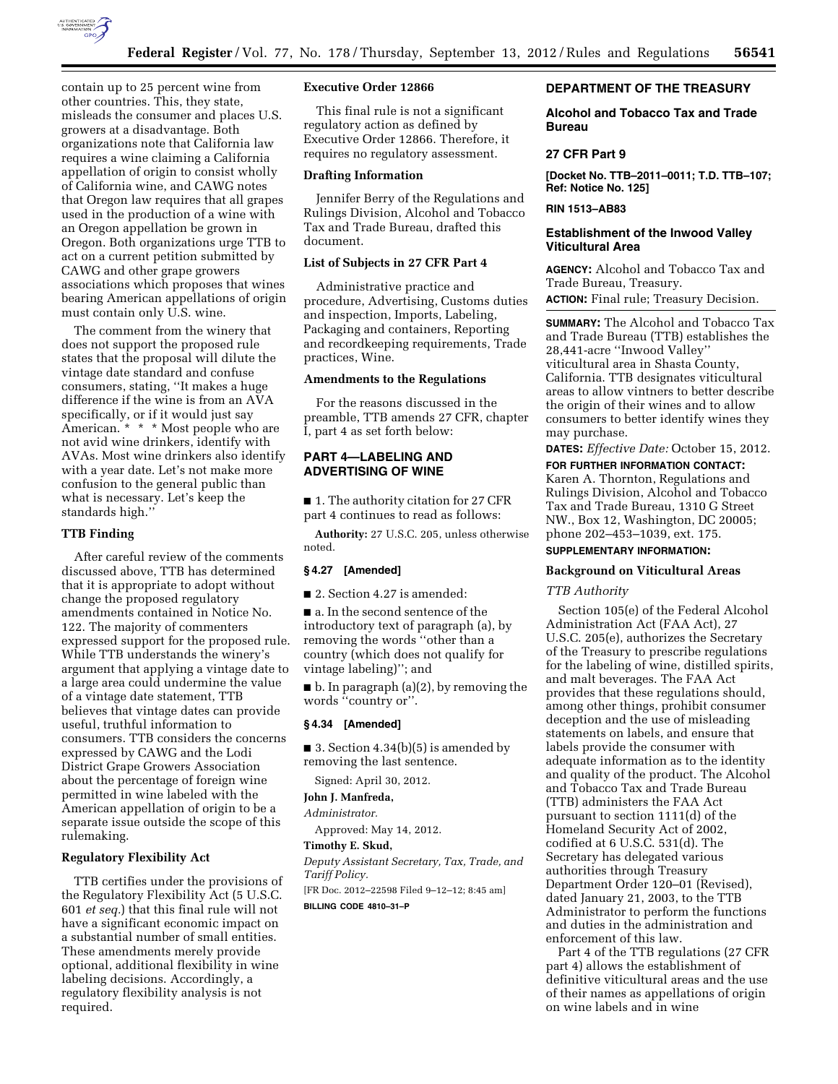

contain up to 25 percent wine from other countries. This, they state, misleads the consumer and places U.S. growers at a disadvantage. Both organizations note that California law requires a wine claiming a California appellation of origin to consist wholly of California wine, and CAWG notes that Oregon law requires that all grapes used in the production of a wine with an Oregon appellation be grown in Oregon. Both organizations urge TTB to act on a current petition submitted by CAWG and other grape growers associations which proposes that wines bearing American appellations of origin must contain only U.S. wine.

The comment from the winery that does not support the proposed rule states that the proposal will dilute the vintage date standard and confuse consumers, stating, ''It makes a huge difference if the wine is from an AVA specifically, or if it would just say American. \* \* \* Most people who are not avid wine drinkers, identify with AVAs. Most wine drinkers also identify with a year date. Let's not make more confusion to the general public than what is necessary. Let's keep the standards high.''

### **TTB Finding**

After careful review of the comments discussed above, TTB has determined that it is appropriate to adopt without change the proposed regulatory amendments contained in Notice No. 122. The majority of commenters expressed support for the proposed rule. While TTB understands the winery's argument that applying a vintage date to a large area could undermine the value of a vintage date statement, TTB believes that vintage dates can provide useful, truthful information to consumers. TTB considers the concerns expressed by CAWG and the Lodi District Grape Growers Association about the percentage of foreign wine permitted in wine labeled with the American appellation of origin to be a separate issue outside the scope of this rulemaking.

## **Regulatory Flexibility Act**

TTB certifies under the provisions of the Regulatory Flexibility Act (5 U.S.C. 601 *et seq.*) that this final rule will not have a significant economic impact on a substantial number of small entities. These amendments merely provide optional, additional flexibility in wine labeling decisions. Accordingly, a regulatory flexibility analysis is not required.

# **Executive Order 12866**

This final rule is not a significant regulatory action as defined by Executive Order 12866. Therefore, it requires no regulatory assessment.

#### **Drafting Information**

Jennifer Berry of the Regulations and Rulings Division, Alcohol and Tobacco Tax and Trade Bureau, drafted this document.

### **List of Subjects in 27 CFR Part 4**

Administrative practice and procedure, Advertising, Customs duties and inspection, Imports, Labeling, Packaging and containers, Reporting and recordkeeping requirements, Trade practices, Wine.

# **Amendments to the Regulations**

For the reasons discussed in the preamble, TTB amends 27 CFR, chapter I, part 4 as set forth below:

# **PART 4—LABELING AND ADVERTISING OF WINE**

■ 1. The authority citation for 27 CFR part 4 continues to read as follows:

**Authority:** 27 U.S.C. 205, unless otherwise noted.

### **§ 4.27 [Amended]**

■ 2. Section 4.27 is amended:

■ a. In the second sentence of the introductory text of paragraph (a), by removing the words ''other than a country (which does not qualify for vintage labeling)''; and

 $\blacksquare$  b. In paragraph (a)(2), by removing the words ''country or''.

#### **§ 4.34 [Amended]**

 $\blacksquare$  3. Section 4.34(b)(5) is amended by removing the last sentence.

Signed: April 30, 2012.

# **John J. Manfreda,**

*Administrator.* 

Approved: May 14, 2012.

**Timothy E. Skud,**  *Deputy Assistant Secretary, Tax, Trade, and Tariff Policy.* 

[FR Doc. 2012–22598 Filed 9–12–12; 8:45 am]

**BILLING CODE 4810–31–P** 

# **DEPARTMENT OF THE TREASURY**

**Alcohol and Tobacco Tax and Trade Bureau** 

#### **27 CFR Part 9**

**[Docket No. TTB–2011–0011; T.D. TTB–107; Ref: Notice No. 125]** 

# **RIN 1513–AB83**

# **Establishment of the Inwood Valley Viticultural Area**

**AGENCY:** Alcohol and Tobacco Tax and Trade Bureau, Treasury.

**ACTION:** Final rule; Treasury Decision.

**SUMMARY:** The Alcohol and Tobacco Tax and Trade Bureau (TTB) establishes the 28,441-acre ''Inwood Valley'' viticultural area in Shasta County, California. TTB designates viticultural areas to allow vintners to better describe the origin of their wines and to allow consumers to better identify wines they may purchase.

**DATES:** *Effective Date:* October 15, 2012. **FOR FURTHER INFORMATION CONTACT:**  Karen A. Thornton, Regulations and Rulings Division, Alcohol and Tobacco Tax and Trade Bureau, 1310 G Street NW., Box 12, Washington, DC 20005; phone 202–453–1039, ext. 175.

# **SUPPLEMENTARY INFORMATION:**

### **Background on Viticultural Areas**

#### *TTB Authority*

Section 105(e) of the Federal Alcohol Administration Act (FAA Act), 27 U.S.C. 205(e), authorizes the Secretary of the Treasury to prescribe regulations for the labeling of wine, distilled spirits, and malt beverages. The FAA Act provides that these regulations should, among other things, prohibit consumer deception and the use of misleading statements on labels, and ensure that labels provide the consumer with adequate information as to the identity and quality of the product. The Alcohol and Tobacco Tax and Trade Bureau (TTB) administers the FAA Act pursuant to section 1111(d) of the Homeland Security Act of 2002, codified at 6 U.S.C. 531(d). The Secretary has delegated various authorities through Treasury Department Order 120–01 (Revised), dated January 21, 2003, to the TTB Administrator to perform the functions and duties in the administration and enforcement of this law.

Part 4 of the TTB regulations (27 CFR part 4) allows the establishment of definitive viticultural areas and the use of their names as appellations of origin on wine labels and in wine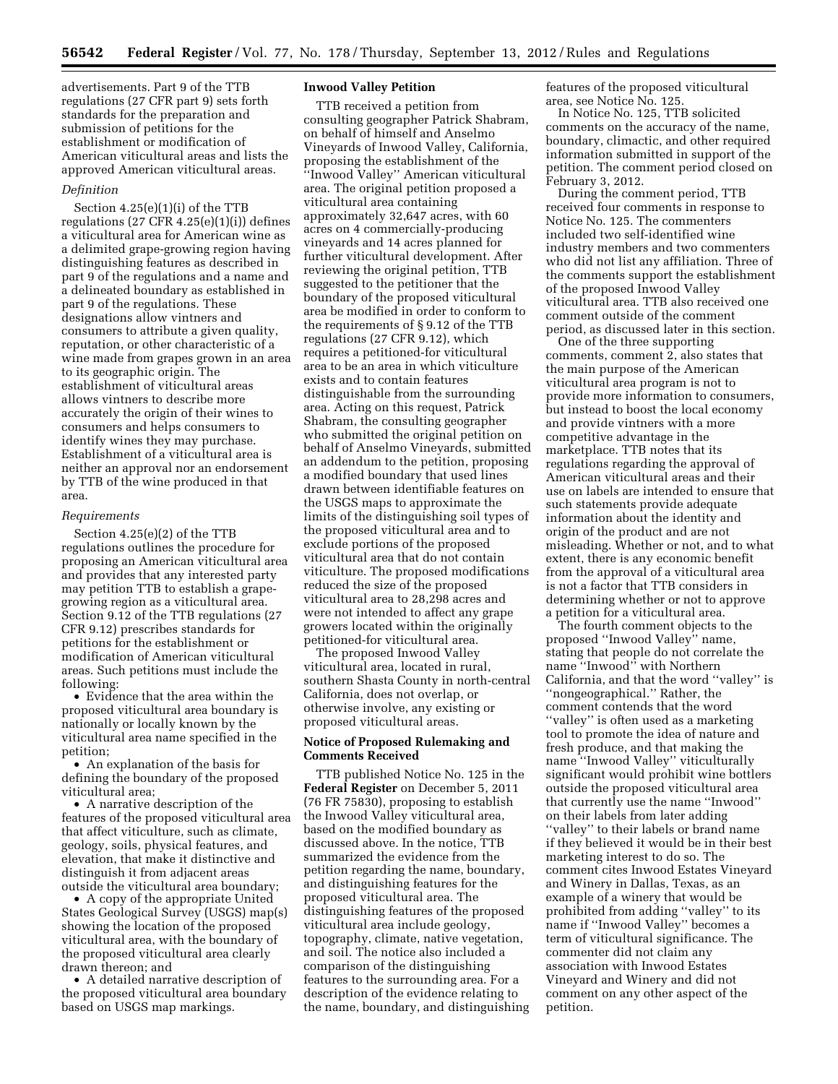advertisements. Part 9 of the TTB regulations (27 CFR part 9) sets forth standards for the preparation and submission of petitions for the establishment or modification of American viticultural areas and lists the approved American viticultural areas.

#### *Definition*

Section 4.25(e)(1)(i) of the TTB regulations (27 CFR 4.25(e)(1)(i)) defines a viticultural area for American wine as a delimited grape-growing region having distinguishing features as described in part 9 of the regulations and a name and a delineated boundary as established in part 9 of the regulations. These designations allow vintners and consumers to attribute a given quality, reputation, or other characteristic of a wine made from grapes grown in an area to its geographic origin. The establishment of viticultural areas allows vintners to describe more accurately the origin of their wines to consumers and helps consumers to identify wines they may purchase. Establishment of a viticultural area is neither an approval nor an endorsement by TTB of the wine produced in that area.

#### *Requirements*

Section 4.25(e)(2) of the TTB regulations outlines the procedure for proposing an American viticultural area and provides that any interested party may petition TTB to establish a grapegrowing region as a viticultural area. Section 9.12 of the TTB regulations (27 CFR 9.12) prescribes standards for petitions for the establishment or modification of American viticultural areas. Such petitions must include the following:

• Evidence that the area within the proposed viticultural area boundary is nationally or locally known by the viticultural area name specified in the petition;

• An explanation of the basis for defining the boundary of the proposed viticultural area;

• A narrative description of the features of the proposed viticultural area that affect viticulture, such as climate, geology, soils, physical features, and elevation, that make it distinctive and distinguish it from adjacent areas outside the viticultural area boundary;

• A copy of the appropriate United States Geological Survey (USGS) map(s) showing the location of the proposed viticultural area, with the boundary of the proposed viticultural area clearly drawn thereon; and

• A detailed narrative description of the proposed viticultural area boundary based on USGS map markings.

# **Inwood Valley Petition**

TTB received a petition from consulting geographer Patrick Shabram, on behalf of himself and Anselmo Vineyards of Inwood Valley, California, proposing the establishment of the ''Inwood Valley'' American viticultural area. The original petition proposed a viticultural area containing approximately 32,647 acres, with 60 acres on 4 commercially-producing vineyards and 14 acres planned for further viticultural development. After reviewing the original petition, TTB suggested to the petitioner that the boundary of the proposed viticultural area be modified in order to conform to the requirements of § 9.12 of the TTB regulations (27 CFR 9.12), which requires a petitioned-for viticultural area to be an area in which viticulture exists and to contain features distinguishable from the surrounding area. Acting on this request, Patrick Shabram, the consulting geographer who submitted the original petition on behalf of Anselmo Vineyards, submitted an addendum to the petition, proposing a modified boundary that used lines drawn between identifiable features on the USGS maps to approximate the limits of the distinguishing soil types of the proposed viticultural area and to exclude portions of the proposed viticultural area that do not contain viticulture. The proposed modifications reduced the size of the proposed viticultural area to 28,298 acres and were not intended to affect any grape growers located within the originally petitioned-for viticultural area.

The proposed Inwood Valley viticultural area, located in rural, southern Shasta County in north-central California, does not overlap, or otherwise involve, any existing or proposed viticultural areas.

### **Notice of Proposed Rulemaking and Comments Received**

TTB published Notice No. 125 in the **Federal Register** on December 5, 2011 (76 FR 75830), proposing to establish the Inwood Valley viticultural area, based on the modified boundary as discussed above. In the notice, TTB summarized the evidence from the petition regarding the name, boundary, and distinguishing features for the proposed viticultural area. The distinguishing features of the proposed viticultural area include geology, topography, climate, native vegetation, and soil. The notice also included a comparison of the distinguishing features to the surrounding area. For a description of the evidence relating to the name, boundary, and distinguishing features of the proposed viticultural area, see Notice No. 125.

In Notice No. 125, TTB solicited comments on the accuracy of the name, boundary, climactic, and other required information submitted in support of the petition. The comment period closed on February 3, 2012.

During the comment period, TTB received four comments in response to Notice No. 125. The commenters included two self-identified wine industry members and two commenters who did not list any affiliation. Three of the comments support the establishment of the proposed Inwood Valley viticultural area. TTB also received one comment outside of the comment period, as discussed later in this section.

One of the three supporting comments, comment 2, also states that the main purpose of the American viticultural area program is not to provide more information to consumers, but instead to boost the local economy and provide vintners with a more competitive advantage in the marketplace. TTB notes that its regulations regarding the approval of American viticultural areas and their use on labels are intended to ensure that such statements provide adequate information about the identity and origin of the product and are not misleading. Whether or not, and to what extent, there is any economic benefit from the approval of a viticultural area is not a factor that TTB considers in determining whether or not to approve a petition for a viticultural area.

The fourth comment objects to the proposed ''Inwood Valley'' name, stating that people do not correlate the name ''Inwood'' with Northern California, and that the word ''valley'' is ''nongeographical.'' Rather, the comment contends that the word ''valley'' is often used as a marketing tool to promote the idea of nature and fresh produce, and that making the name ''Inwood Valley'' viticulturally significant would prohibit wine bottlers outside the proposed viticultural area that currently use the name ''Inwood'' on their labels from later adding ''valley'' to their labels or brand name if they believed it would be in their best marketing interest to do so. The comment cites Inwood Estates Vineyard and Winery in Dallas, Texas, as an example of a winery that would be prohibited from adding ''valley'' to its name if ''Inwood Valley'' becomes a term of viticultural significance. The commenter did not claim any association with Inwood Estates Vineyard and Winery and did not comment on any other aspect of the petition.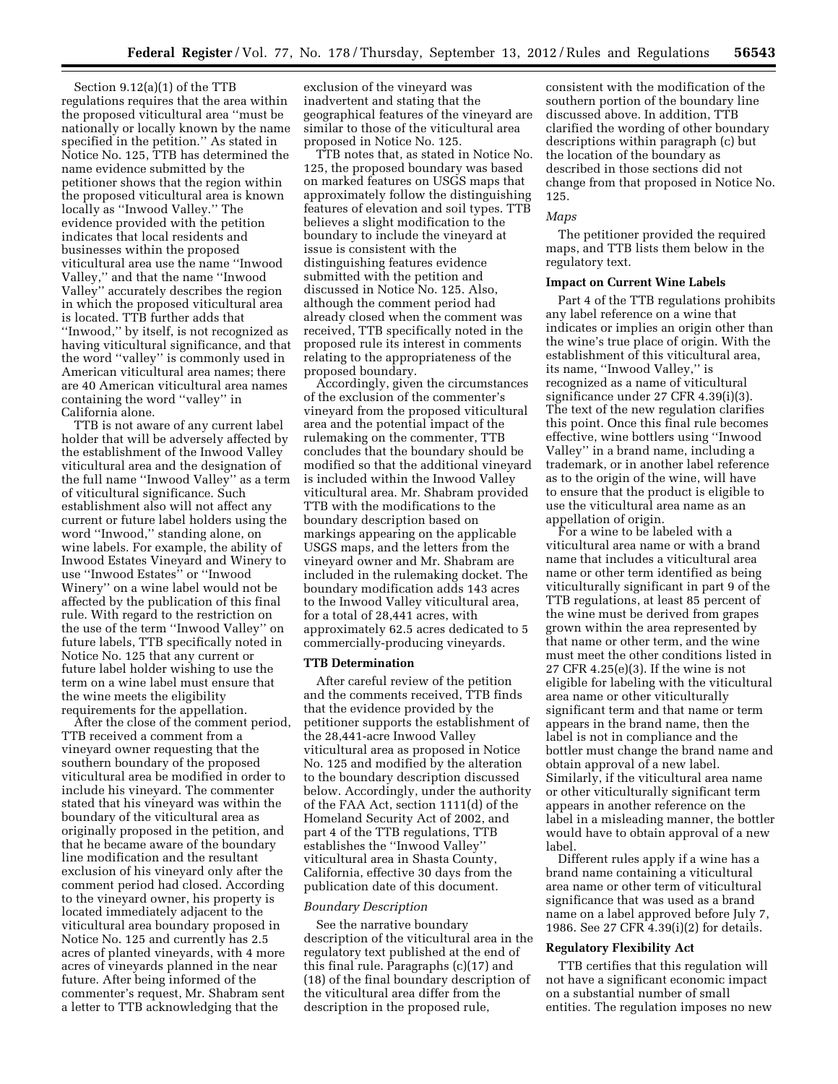Section 9.12(a)(1) of the TTB regulations requires that the area within the proposed viticultural area ''must be nationally or locally known by the name specified in the petition.'' As stated in Notice No. 125, TTB has determined the name evidence submitted by the petitioner shows that the region within the proposed viticultural area is known locally as ''Inwood Valley.'' The evidence provided with the petition indicates that local residents and businesses within the proposed viticultural area use the name ''Inwood Valley,'' and that the name ''Inwood Valley'' accurately describes the region in which the proposed viticultural area is located. TTB further adds that ''Inwood,'' by itself, is not recognized as having viticultural significance, and that the word ''valley'' is commonly used in American viticultural area names; there are 40 American viticultural area names containing the word ''valley'' in California alone.

TTB is not aware of any current label holder that will be adversely affected by the establishment of the Inwood Valley viticultural area and the designation of the full name ''Inwood Valley'' as a term of viticultural significance. Such establishment also will not affect any current or future label holders using the word ''Inwood,'' standing alone, on wine labels. For example, the ability of Inwood Estates Vineyard and Winery to use ''Inwood Estates'' or ''Inwood Winery'' on a wine label would not be affected by the publication of this final rule. With regard to the restriction on the use of the term ''Inwood Valley'' on future labels, TTB specifically noted in Notice No. 125 that any current or future label holder wishing to use the term on a wine label must ensure that the wine meets the eligibility requirements for the appellation.

After the close of the comment period, TTB received a comment from a vineyard owner requesting that the southern boundary of the proposed viticultural area be modified in order to include his vineyard. The commenter stated that his vineyard was within the boundary of the viticultural area as originally proposed in the petition, and that he became aware of the boundary line modification and the resultant exclusion of his vineyard only after the comment period had closed. According to the vineyard owner, his property is located immediately adjacent to the viticultural area boundary proposed in Notice No. 125 and currently has 2.5 acres of planted vineyards, with 4 more acres of vineyards planned in the near future. After being informed of the commenter's request, Mr. Shabram sent a letter to TTB acknowledging that the

exclusion of the vineyard was inadvertent and stating that the geographical features of the vineyard are similar to those of the viticultural area proposed in Notice No. 125.

TTB notes that, as stated in Notice No. 125, the proposed boundary was based on marked features on USGS maps that approximately follow the distinguishing features of elevation and soil types. TTB believes a slight modification to the boundary to include the vineyard at issue is consistent with the distinguishing features evidence submitted with the petition and discussed in Notice No. 125. Also, although the comment period had already closed when the comment was received, TTB specifically noted in the proposed rule its interest in comments relating to the appropriateness of the proposed boundary.

Accordingly, given the circumstances of the exclusion of the commenter's vineyard from the proposed viticultural area and the potential impact of the rulemaking on the commenter, TTB concludes that the boundary should be modified so that the additional vineyard is included within the Inwood Valley viticultural area. Mr. Shabram provided TTB with the modifications to the boundary description based on markings appearing on the applicable USGS maps, and the letters from the vineyard owner and Mr. Shabram are included in the rulemaking docket. The boundary modification adds 143 acres to the Inwood Valley viticultural area, for a total of 28,441 acres, with approximately 62.5 acres dedicated to 5 commercially-producing vineyards.

#### **TTB Determination**

After careful review of the petition and the comments received, TTB finds that the evidence provided by the petitioner supports the establishment of the 28,441-acre Inwood Valley viticultural area as proposed in Notice No. 125 and modified by the alteration to the boundary description discussed below. Accordingly, under the authority of the FAA Act, section 1111(d) of the Homeland Security Act of 2002, and part 4 of the TTB regulations, TTB establishes the ''Inwood Valley'' viticultural area in Shasta County, California, effective 30 days from the publication date of this document.

#### *Boundary Description*

See the narrative boundary description of the viticultural area in the regulatory text published at the end of this final rule. Paragraphs (c)(17) and (18) of the final boundary description of the viticultural area differ from the description in the proposed rule,

consistent with the modification of the southern portion of the boundary line discussed above. In addition, TTB clarified the wording of other boundary descriptions within paragraph (c) but the location of the boundary as described in those sections did not change from that proposed in Notice No. 125.

### *Maps*

The petitioner provided the required maps, and TTB lists them below in the regulatory text.

### **Impact on Current Wine Labels**

Part 4 of the TTB regulations prohibits any label reference on a wine that indicates or implies an origin other than the wine's true place of origin. With the establishment of this viticultural area, its name, ''Inwood Valley,'' is recognized as a name of viticultural significance under 27 CFR 4.39(i)(3). The text of the new regulation clarifies this point. Once this final rule becomes effective, wine bottlers using ''Inwood Valley'' in a brand name, including a trademark, or in another label reference as to the origin of the wine, will have to ensure that the product is eligible to use the viticultural area name as an appellation of origin.

For a wine to be labeled with a viticultural area name or with a brand name that includes a viticultural area name or other term identified as being viticulturally significant in part 9 of the TTB regulations, at least 85 percent of the wine must be derived from grapes grown within the area represented by that name or other term, and the wine must meet the other conditions listed in 27 CFR 4.25(e)(3). If the wine is not eligible for labeling with the viticultural area name or other viticulturally significant term and that name or term appears in the brand name, then the label is not in compliance and the bottler must change the brand name and obtain approval of a new label. Similarly, if the viticultural area name or other viticulturally significant term appears in another reference on the label in a misleading manner, the bottler would have to obtain approval of a new label.

Different rules apply if a wine has a brand name containing a viticultural area name or other term of viticultural significance that was used as a brand name on a label approved before July 7, 1986. See 27 CFR 4.39(i)(2) for details.

#### **Regulatory Flexibility Act**

TTB certifies that this regulation will not have a significant economic impact on a substantial number of small entities. The regulation imposes no new